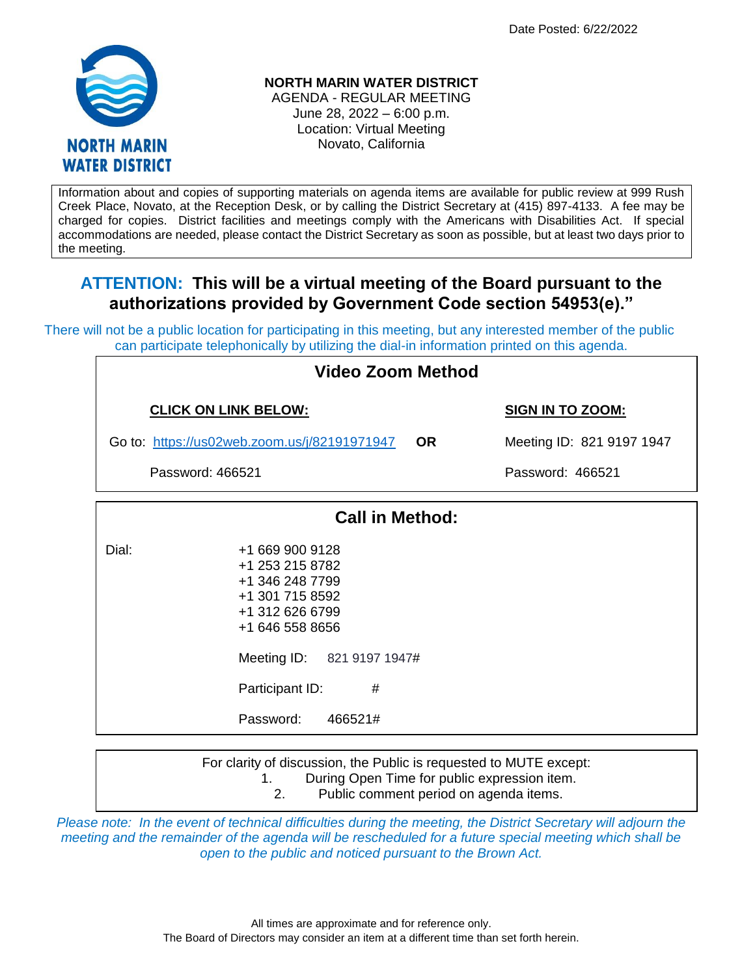Date Posted: 6/22/2022



## **NORTH MARIN WATER DISTRICT**

AGENDA - REGULAR MEETING June 28, 2022 – 6:00 p.m. Location: Virtual Meeting Novato, California

Information about and copies of supporting materials on agenda items are available for public review at 999 Rush Creek Place, Novato, at the Reception Desk, or by calling the District Secretary at (415) 897-4133. A fee may be charged for copies. District facilities and meetings comply with the Americans with Disabilities Act. If special accommodations are needed, please contact the District Secretary as soon as possible, but at least two days prior to the meeting.

## **ATTENTION: This will be a virtual meeting of the Board pursuant to the authorizations provided by Government Code section 54953(e)."**

There will not be a public location for participating in this meeting, but any interested member of the public can participate telephonically by utilizing the dial-in information printed on this agenda.

| <b>Video Zoom Method</b> |                                                                                                                                                                                              |                           |  |  |
|--------------------------|----------------------------------------------------------------------------------------------------------------------------------------------------------------------------------------------|---------------------------|--|--|
|                          | <b>CLICK ON LINK BELOW:</b>                                                                                                                                                                  | <b>SIGN IN TO ZOOM:</b>   |  |  |
|                          | <b>OR</b><br>Go to: https://us02web.zoom.us/j/82191971947                                                                                                                                    | Meeting ID: 821 9197 1947 |  |  |
| Password: 466521         |                                                                                                                                                                                              | Password: 466521          |  |  |
|                          | <b>Call in Method:</b>                                                                                                                                                                       |                           |  |  |
| Dial:                    | +1 669 900 9128<br>+1 253 215 8782<br>+1 346 248 7799<br>+1 301 715 8592<br>+1 312 626 6799<br>+1 646 558 8656<br>Meeting ID: 821 9197 1947#<br>Participant ID:<br>#<br>466521#<br>Password: |                           |  |  |

For clarity of discussion, the Public is requested to MUTE except: 1. During Open Time for public expression item.

2. Public comment period on agenda items.

*Please note: In the event of technical difficulties during the meeting, the District Secretary will adjourn the meeting and the remainder of the agenda will be rescheduled for a future special meeting which shall be open to the public and noticed pursuant to the Brown Act.*